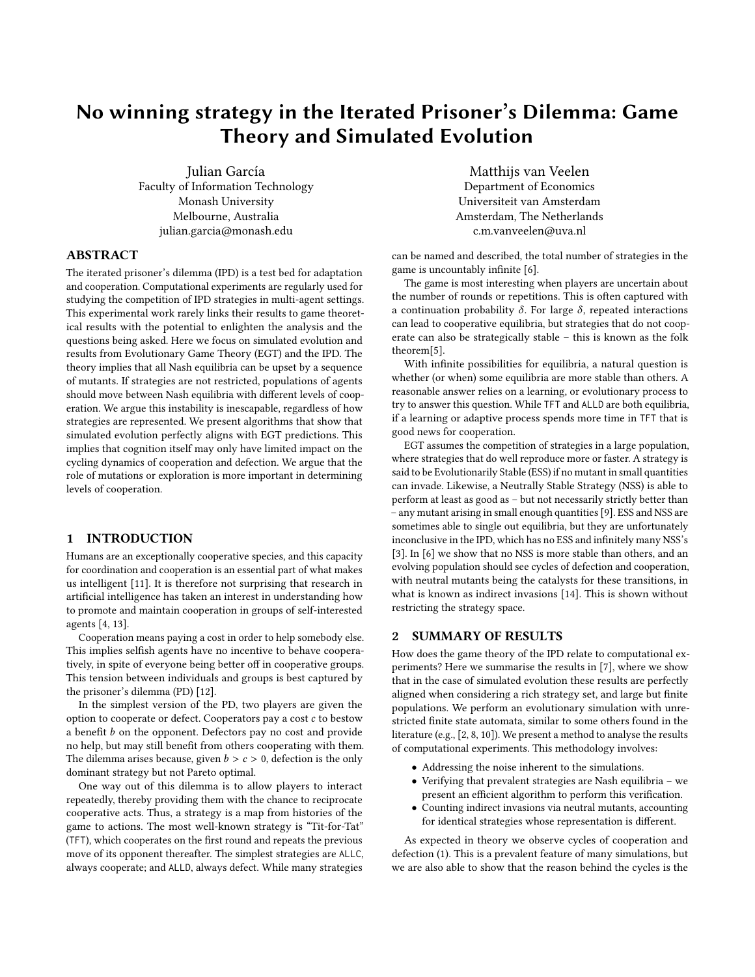## No winning strategy in the Iterated Prisoner's Dilemma: Game Theory and Simulated Evolution

Julian García Faculty of Information Technology Monash University Melbourne, Australia julian.garcia@monash.edu

ABSTRACT

The iterated prisoner's dilemma (IPD) is a test bed for adaptation and cooperation. Computational experiments are regularly used for studying the competition of IPD strategies in multi-agent settings. This experimental work rarely links their results to game theoretical results with the potential to enlighten the analysis and the questions being asked. Here we focus on simulated evolution and results from Evolutionary Game Theory (EGT) and the IPD. The theory implies that all Nash equilibria can be upset by a sequence of mutants. If strategies are not restricted, populations of agents should move between Nash equilibria with different levels of cooperation. We argue this instability is inescapable, regardless of how strategies are represented. We present algorithms that show that simulated evolution perfectly aligns with EGT predictions. This implies that cognition itself may only have limited impact on the cycling dynamics of cooperation and defection. We argue that the role of mutations or exploration is more important in determining levels of cooperation.

## 1 INTRODUCTION

Humans are an exceptionally cooperative species, and this capacity for coordination and cooperation is an essential part of what makes us intelligent [\[11\]](#page-1-0). It is therefore not surprising that research in artificial intelligence has taken an interest in understanding how to promote and maintain cooperation in groups of self-interested agents [\[4,](#page-1-1) [13\]](#page-1-2).

Cooperation means paying a cost in order to help somebody else. This implies selfish agents have no incentive to behave cooperatively, in spite of everyone being better off in cooperative groups. This tension between individuals and groups is best captured by the prisoner's dilemma (PD) [\[12\]](#page-1-3).

In the simplest version of the PD, two players are given the option to cooperate or defect. Cooperators pay a cost c to bestow a benefit  $b$  on the opponent. Defectors pay no cost and provide no help, but may still benefit from others cooperating with them. The dilemma arises because, given  $b > c > 0$ , defection is the only dominant strategy but not Pareto optimal.

One way out of this dilemma is to allow players to interact repeatedly, thereby providing them with the chance to reciprocate cooperative acts. Thus, a strategy is a map from histories of the game to actions. The most well-known strategy is "Tit-for-Tat" (TFT), which cooperates on the first round and repeats the previous move of its opponent thereafter. The simplest strategies are ALLC, always cooperate; and ALLD, always defect. While many strategies

Matthijs van Veelen Department of Economics Universiteit van Amsterdam Amsterdam, The Netherlands c.m.vanveelen@uva.nl

can be named and described, the total number of strategies in the game is uncountably infinite [\[6\]](#page-1-4).

The game is most interesting when players are uncertain about the number of rounds or repetitions. This is often captured with a continuation probability δ. For large δ, repeated interactions can lead to cooperative equilibria, but strategies that do not cooperate can also be strategically stable – this is known as the folk theorem[\[5\]](#page-1-5).

With infinite possibilities for equilibria, a natural question is whether (or when) some equilibria are more stable than others. A reasonable answer relies on a learning, or evolutionary process to try to answer this question. While TFT and ALLD are both equilibria, if a learning or adaptive process spends more time in TFT that is good news for cooperation.

EGT assumes the competition of strategies in a large population, where strategies that do well reproduce more or faster. A strategy is said to be Evolutionarily Stable (ESS) if no mutant in small quantities can invade. Likewise, a Neutrally Stable Strategy (NSS) is able to perform at least as good as – but not necessarily strictly better than – any mutant arising in small enough quantities [\[9\]](#page-1-6). ESS and NSS are sometimes able to single out equilibria, but they are unfortunately inconclusive in the IPD, which has no ESS and infinitely many NSS's [\[3\]](#page-1-7). In [\[6\]](#page-1-4) we show that no NSS is more stable than others, and an evolving population should see cycles of defection and cooperation, with neutral mutants being the catalysts for these transitions, in what is known as indirect invasions [\[14\]](#page-1-8). This is shown without restricting the strategy space.

## 2 SUMMARY OF RESULTS

How does the game theory of the IPD relate to computational experiments? Here we summarise the results in [\[7\]](#page-1-9), where we show that in the case of simulated evolution these results are perfectly aligned when considering a rich strategy set, and large but finite populations. We perform an evolutionary simulation with unrestricted finite state automata, similar to some others found in the literature (e.g., [\[2,](#page-1-10) [8,](#page-1-11) [10\]](#page-1-12)). We present a method to analyse the results of computational experiments. This methodology involves:

- Addressing the noise inherent to the simulations.
- Verifying that prevalent strategies are Nash equilibria we present an efficient algorithm to perform this verification.
- Counting indirect invasions via neutral mutants, accounting for identical strategies whose representation is different.

As expected in theory we observe cycles of cooperation and defection [\(1\)](#page-1-13). This is a prevalent feature of many simulations, but we are also able to show that the reason behind the cycles is the